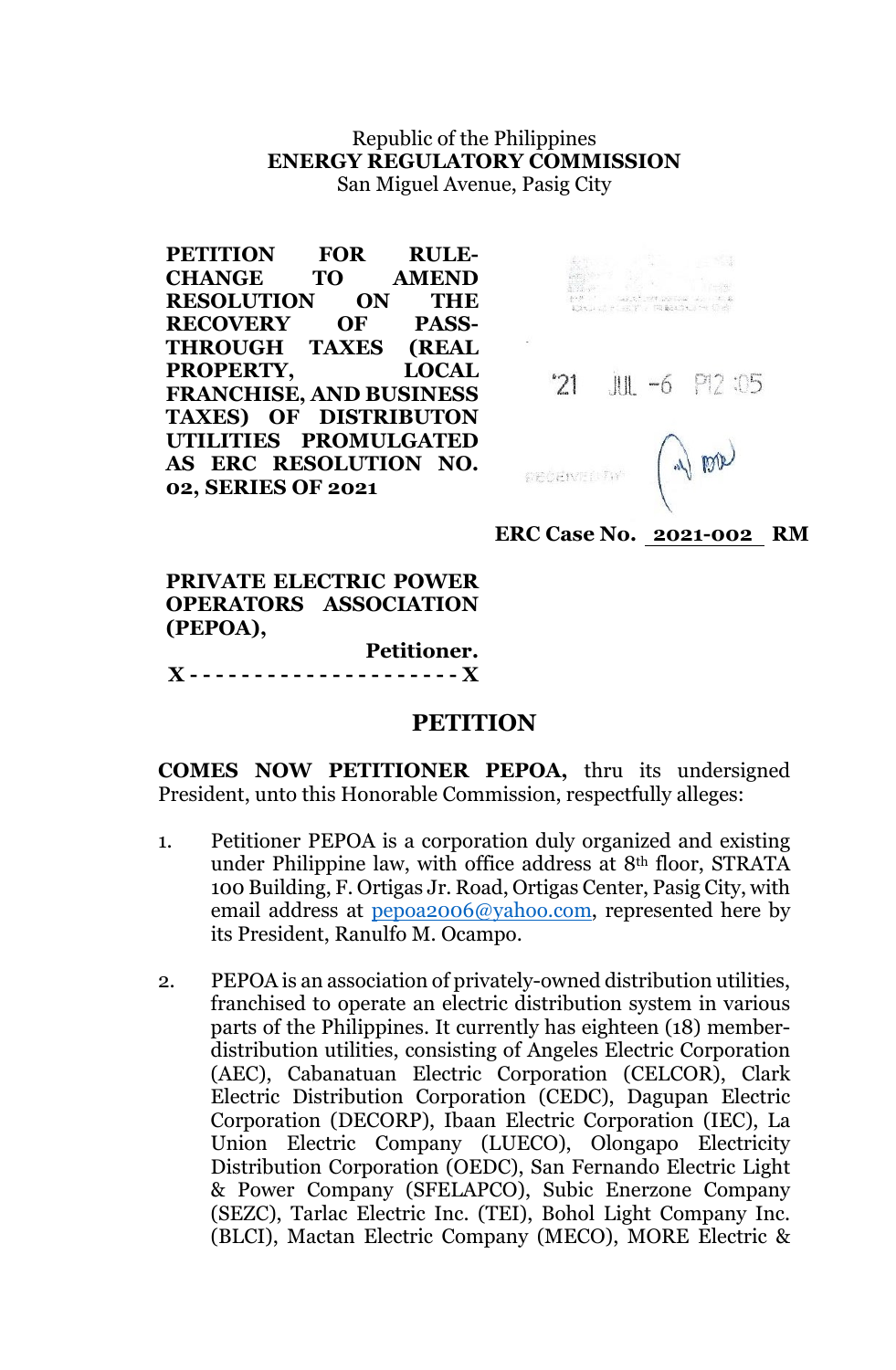## Republic of the Philippines **ENERGY REGULATORY COMMISSION** San Miguel Avenue, Pasig City

| PETITION FOR                   | <b>RULE-</b> |
|--------------------------------|--------------|
| <b>CHANGE</b>                  | TO AMEND     |
| <b>RESOLUTION ON THE</b>       |              |
| <b>RECOVERY</b>                | OF PASS-     |
| THROUGH TAXES (REAL            |              |
| PROPERTY,                      | <b>LOCAL</b> |
| <b>FRANCHISE, AND BUSINESS</b> |              |
| <b>TAXES) OF DISTRIBUTON</b>   |              |
| UTILITIES PROMULGATED          |              |
| AS ERC RESOLUTION NO.          |              |
| 02, SERIES OF 2021             |              |



**ERC Case No. 2021-002 RM**

**PRIVATE ELECTRIC POWER OPERATORS ASSOCIATION (PEPOA), Petitioner.**

**X - - - - - - - - - - - - - - - - - - - - - X**

## **PETITION**

**COMES NOW PETITIONER PEPOA,** thru its undersigned President, unto this Honorable Commission, respectfully alleges:

- 1. Petitioner PEPOA is a corporation duly organized and existing under Philippine law, with office address at 8th floor, STRATA 100 Building, F. Ortigas Jr. Road, Ortigas Center, Pasig City, with email address at <u>pepoa2006@yahoo.com</u>, represented here by its President, Ranulfo M. Ocampo.
- 2. PEPOA is an association of privately-owned distribution utilities, franchised to operate an electric distribution system in various parts of the Philippines. It currently has eighteen (18) memberdistribution utilities, consisting of Angeles Electric Corporation (AEC), Cabanatuan Electric Corporation (CELCOR), Clark Electric Distribution Corporation (CEDC), Dagupan Electric Corporation (DECORP), Ibaan Electric Corporation (IEC), La Union Electric Company (LUECO), Olongapo Electricity Distribution Corporation (OEDC), San Fernando Electric Light & Power Company (SFELAPCO), Subic Enerzone Company (SEZC), Tarlac Electric Inc. (TEI), Bohol Light Company Inc. (BLCI), Mactan Electric Company (MECO), MORE Electric &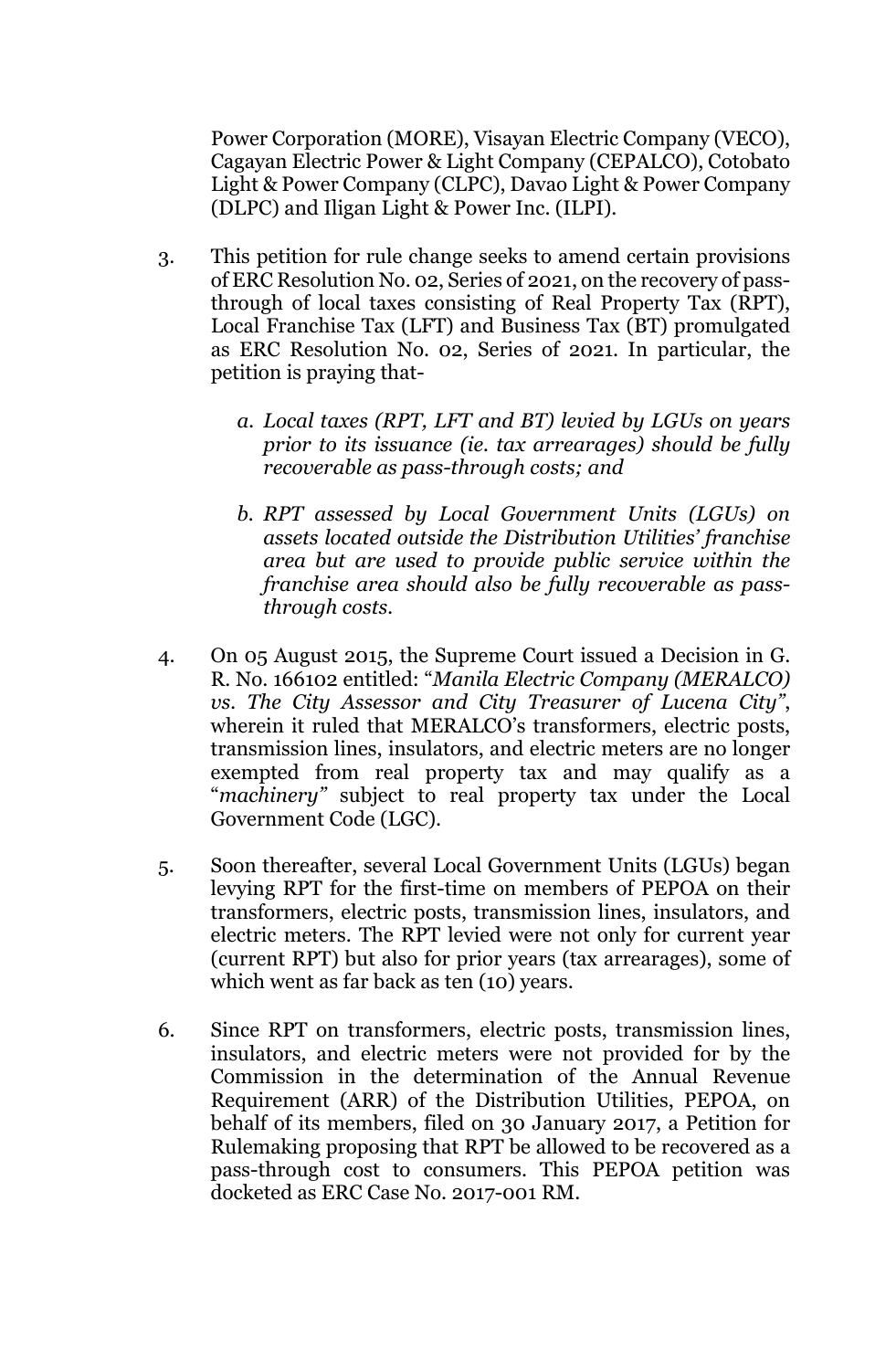Power Corporation (MORE), Visayan Electric Company (VECO), Cagayan Electric Power & Light Company (CEPALCO), Cotobato Light & Power Company (CLPC), Davao Light & Power Company (DLPC) and Iligan Light & Power Inc. (ILPI).

- 3. This petition for rule change seeks to amend certain provisions of ERC Resolution No. 02, Series of 2021, on the recovery of passthrough of local taxes consisting of Real Property Tax (RPT), Local Franchise Tax (LFT) and Business Tax (BT) promulgated as ERC Resolution No. 02, Series of 2021. In particular, the petition is praying that
	- *a. Local taxes (RPT, LFT and BT) levied by LGUs on years prior to its issuance (ie. tax arrearages) should be fully recoverable as pass-through costs; and*
	- *b. RPT assessed by Local Government Units (LGUs) on assets located outside the Distribution Utilities' franchise area but are used to provide public service within the franchise area should also be fully recoverable as passthrough costs.*
- 4. On 05 August 2015, the Supreme Court issued a Decision in G. R. No. 166102 entitled: "*Manila Electric Company (MERALCO) vs. The City Assessor and City Treasurer of Lucena City"*, wherein it ruled that MERALCO's transformers, electric posts, transmission lines, insulators, and electric meters are no longer exempted from real property tax and may qualify as a "*machinery"* subject to real property tax under the Local Government Code (LGC).
- 5. Soon thereafter, several Local Government Units (LGUs) began levying RPT for the first-time on members of PEPOA on their transformers, electric posts, transmission lines, insulators, and electric meters. The RPT levied were not only for current year (current RPT) but also for prior years (tax arrearages), some of which went as far back as ten (10) years.
- 6. Since RPT on transformers, electric posts, transmission lines, insulators, and electric meters were not provided for by the Commission in the determination of the Annual Revenue Requirement (ARR) of the Distribution Utilities, PEPOA, on behalf of its members, filed on 30 January 2017, a Petition for Rulemaking proposing that RPT be allowed to be recovered as a pass-through cost to consumers. This PEPOA petition was docketed as ERC Case No. 2017-001 RM.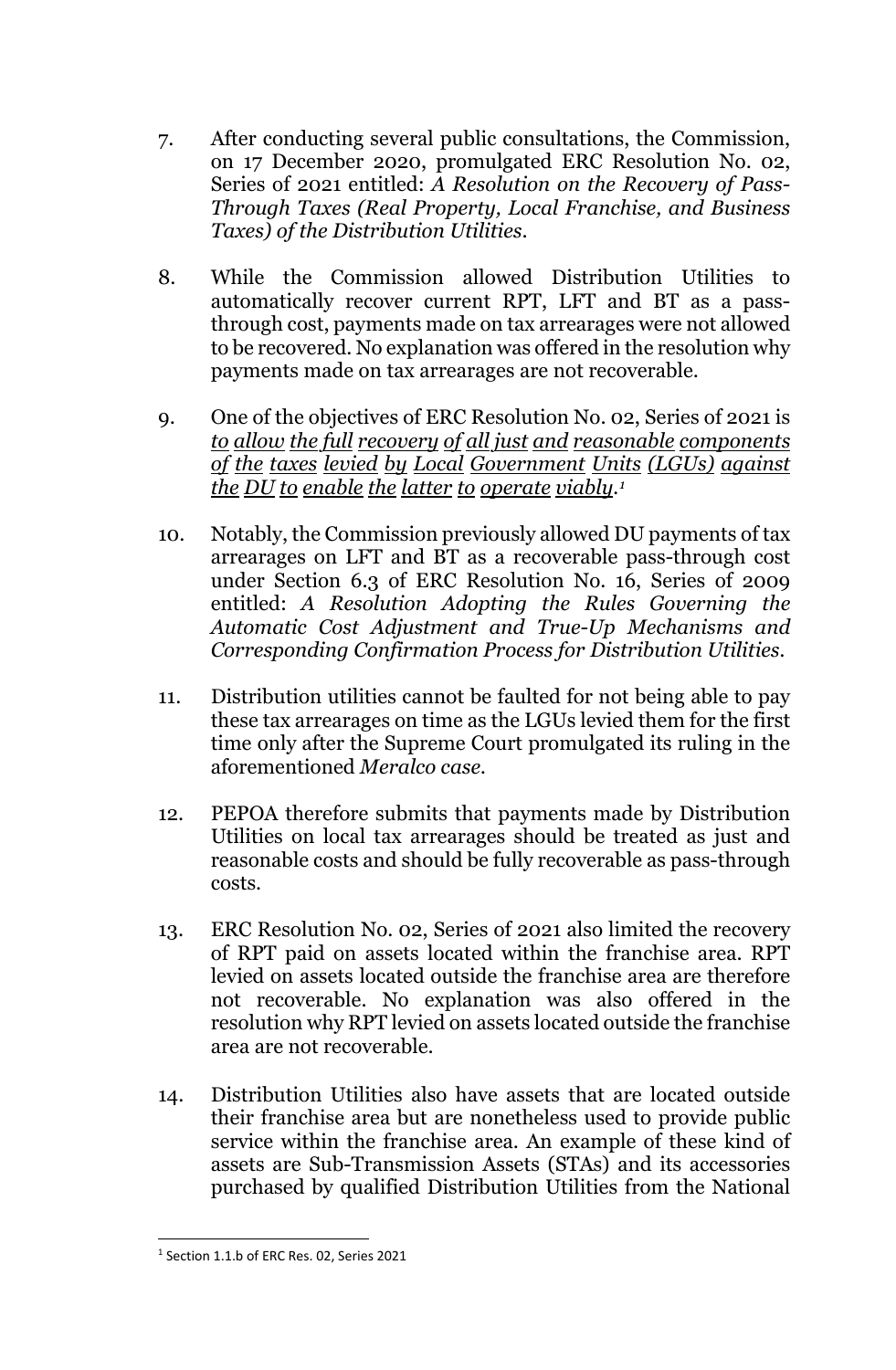- 7. After conducting several public consultations, the Commission, on 17 December 2020, promulgated ERC Resolution No. 02, Series of 2021 entitled: *A Resolution on the Recovery of Pass-Through Taxes (Real Property, Local Franchise, and Business Taxes) of the Distribution Utilities*.
- 8. While the Commission allowed Distribution Utilities to automatically recover current RPT, LFT and BT as a passthrough cost, payments made on tax arrearages were not allowed to be recovered. No explanation was offered in the resolution why payments made on tax arrearages are not recoverable.
- 9. One of the objectives of ERC Resolution No. 02, Series of 2021 is *to allow the full recovery of all just and reasonable components of the taxes levied by Local Government Units (LGUs) against the DU to enable the latter to operate viably.[1](#page-2-0)*
- 10. Notably, the Commission previously allowed DU payments of tax arrearages on LFT and BT as a recoverable pass-through cost under Section 6.3 of ERC Resolution No. 16, Series of 2009 entitled: *A Resolution Adopting the Rules Governing the Automatic Cost Adjustment and True-Up Mechanisms and Corresponding Confirmation Process for Distribution Utilities.*
- 11. Distribution utilities cannot be faulted for not being able to pay these tax arrearages on time as the LGUs levied them for the first time only after the Supreme Court promulgated its ruling in the aforementioned *Meralco case.*
- 12. PEPOA therefore submits that payments made by Distribution Utilities on local tax arrearages should be treated as just and reasonable costs and should be fully recoverable as pass-through costs.
- 13. ERC Resolution No. 02, Series of 2021 also limited the recovery of RPT paid on assets located within the franchise area. RPT levied on assets located outside the franchise area are therefore not recoverable. No explanation was also offered in the resolution why RPT levied on assets located outside the franchise area are not recoverable.
- 14. Distribution Utilities also have assets that are located outside their franchise area but are nonetheless used to provide public service within the franchise area. An example of these kind of assets are Sub-Transmission Assets (STAs) and its accessories purchased by qualified Distribution Utilities from the National

<span id="page-2-0"></span><sup>&</sup>lt;sup>1</sup> Section 1.1.b of ERC Res. 02, Series 2021